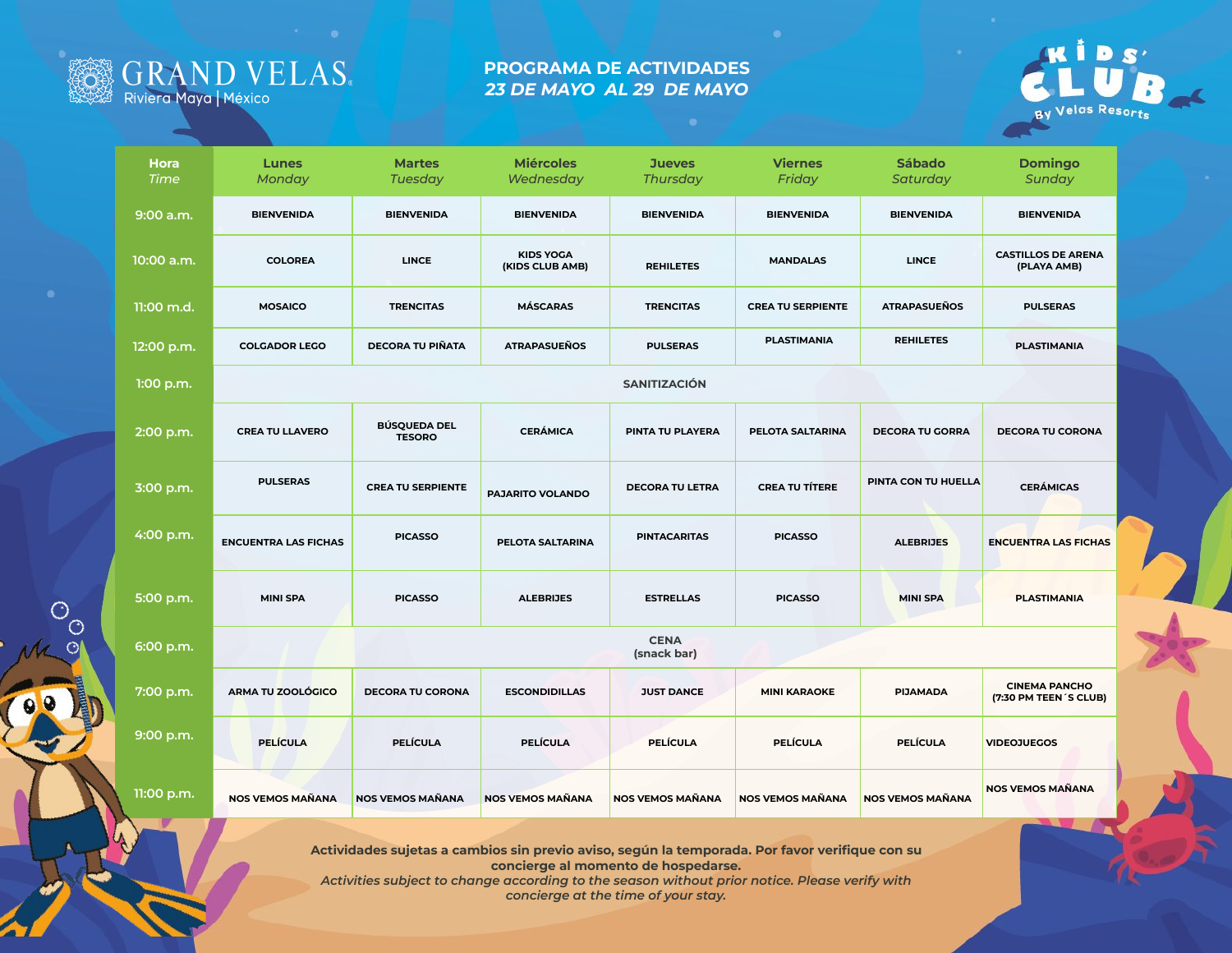

## **PROGRAMA DE ACTIVIDADES** *23 DE MAYO AL 29 DE MAYO*



| <b>Hora</b><br><b>Time</b> | <b>Lunes</b><br>Monday      | <b>Martes</b><br><b>Tuesday</b>      | <b>Miércoles</b><br>Wednesday       | <b>Jueves</b><br><b>Thursday</b> | <b>Viernes</b><br>Friday | <b>Sábado</b><br>Saturday | <b>Domingo</b><br>Sunday                       |  |  |  |  |
|----------------------------|-----------------------------|--------------------------------------|-------------------------------------|----------------------------------|--------------------------|---------------------------|------------------------------------------------|--|--|--|--|
| 9:00 a.m.                  | <b>BIENVENIDA</b>           | <b>BIENVENIDA</b>                    | <b>BIENVENIDA</b>                   | <b>BIENVENIDA</b>                | <b>BIENVENIDA</b>        | <b>BIENVENIDA</b>         | <b>BIENVENIDA</b>                              |  |  |  |  |
| 10:00 a.m.                 | <b>COLOREA</b>              | <b>LINCE</b>                         | <b>KIDS YOGA</b><br>(KIDS CLUB AMB) | <b>REHILETES</b>                 | <b>MANDALAS</b>          | <b>LINCE</b>              | <b>CASTILLOS DE ARENA</b><br>(PLAYA AMB)       |  |  |  |  |
| 11:00 m.d.                 | <b>MOSAICO</b>              | <b>TRENCITAS</b>                     | <b>MÁSCARAS</b>                     | <b>TRENCITAS</b>                 | <b>CREA TU SERPIENTE</b> | <b>ATRAPASUEÑOS</b>       | <b>PULSERAS</b>                                |  |  |  |  |
| 12:00 p.m.                 | <b>COLGADOR LEGO</b>        | <b>DECORA TU PIÑATA</b>              | <b>ATRAPASUEÑOS</b>                 | <b>PULSERAS</b>                  | <b>PLASTIMANIA</b>       | <b>REHILETES</b>          | <b>PLASTIMANIA</b>                             |  |  |  |  |
| 1:00 p.m.                  | <b>SANITIZACIÓN</b>         |                                      |                                     |                                  |                          |                           |                                                |  |  |  |  |
| 2:00 p.m.                  | <b>CREA TU LLAVERO</b>      | <b>BÚSQUEDA DEL</b><br><b>TESORO</b> | <b>CERÁMICA</b>                     | PINTA TU PLAYERA                 | PELOTA SALTARINA         | <b>DECORA TU GORRA</b>    | <b>DECORA TU CORONA</b>                        |  |  |  |  |
| 3:00 p.m.                  | <b>PULSERAS</b>             | <b>CREA TU SERPIENTE</b>             | PAJARITO VOLANDO                    | <b>DECORA TU LETRA</b>           | <b>CREA TU TÍTERE</b>    | PINTA CON TU HUELLA       | <b>CERÁMICAS</b>                               |  |  |  |  |
| 4:00 p.m.                  | <b>ENCUENTRA LAS FICHAS</b> | <b>PICASSO</b>                       | PELOTA SALTARINA                    | <b>PINTACARITAS</b>              | <b>PICASSO</b>           | <b>ALEBRIJES</b>          | <b>ENCUENTRA LAS FICHAS</b>                    |  |  |  |  |
| 5:00 p.m.                  | <b>MINI SPA</b>             | <b>PICASSO</b>                       | <b>ALEBRIJES</b>                    | <b>ESTRELLAS</b>                 | <b>PICASSO</b>           | <b>MINI SPA</b>           | <b>PLASTIMANIA</b>                             |  |  |  |  |
| 6:00 p.m.                  |                             | <b>CENA</b><br>(snack bar)           |                                     |                                  |                          |                           |                                                |  |  |  |  |
| 7:00 p.m.                  | <b>ARMA TU ZOOLÓGICO</b>    | <b>DECORA TU CORONA</b>              | <b>ESCONDIDILLAS</b>                | <b>JUST DANCE</b>                | <b>MINI KARAOKE</b>      | <b>PIJAMADA</b>           | <b>CINEMA PANCHO</b><br>(7:30 PM TEEN 'S CLUB) |  |  |  |  |
| 9:00 p.m.                  | <b>PELÍCULA</b>             | <b>PELÍCULA</b>                      | <b>PELÍCULA</b>                     | <b>PELÍCULA</b>                  | <b>PELÍCULA</b>          | <b>PELÍCULA</b>           | <b>VIDEOJUEGOS</b>                             |  |  |  |  |
| 11:00 p.m.                 | <b>NOS VEMOS MAÑANA</b>     | NOS VEMOS MAÑANA                     | <b>NOS VEMOS MAÑANA</b>             | NOS VEMOS MAÑANA                 | NOS VEMOS MAÑANA         | NOS VEMOS MAÑANA          | <b>NOS VEMOS MAÑANA</b>                        |  |  |  |  |
|                            |                             |                                      |                                     |                                  |                          |                           |                                                |  |  |  |  |

**Actividades sujetas a cambios sin previo aviso, según la temporada. Por favor verifique con su concierge al momento de hospedarse.** *Activities subject to change according to the season without prior notice. Please verify with* 

*concierge at the time of your stay.*